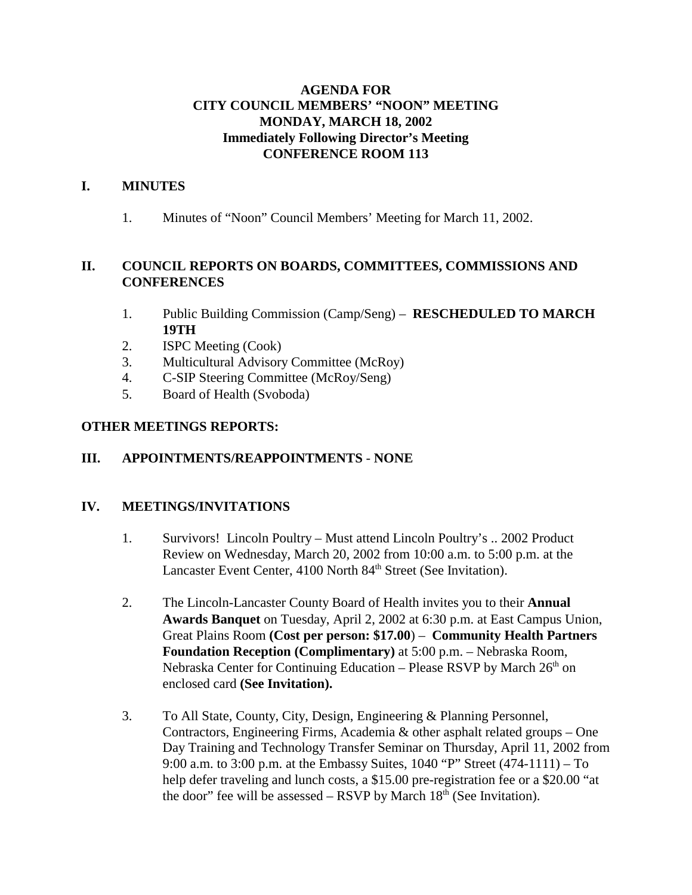### **AGENDA FOR CITY COUNCIL MEMBERS' "NOON" MEETING MONDAY, MARCH 18, 2002 Immediately Following Director's Meeting CONFERENCE ROOM 113**

### **I. MINUTES**

1. Minutes of "Noon" Council Members' Meeting for March 11, 2002.

### **II. COUNCIL REPORTS ON BOARDS, COMMITTEES, COMMISSIONS AND CONFERENCES**

- 1. Public Building Commission (Camp/Seng) **RESCHEDULED TO MARCH 19TH**
- 2. ISPC Meeting (Cook)
- 3. Multicultural Advisory Committee (McRoy)
- 4. C-SIP Steering Committee (McRoy/Seng)
- 5. Board of Health (Svoboda)

#### **OTHER MEETINGS REPORTS:**

### **III. APPOINTMENTS/REAPPOINTMENTS** - **NONE**

### **IV. MEETINGS/INVITATIONS**

- 1. Survivors! Lincoln Poultry Must attend Lincoln Poultry's .. 2002 Product Review on Wednesday, March 20, 2002 from 10:00 a.m. to 5:00 p.m. at the Lancaster Event Center, 4100 North 84<sup>th</sup> Street (See Invitation).
- 2. The Lincoln-Lancaster County Board of Health invites you to their **Annual Awards Banquet** on Tuesday, April 2, 2002 at 6:30 p.m. at East Campus Union, Great Plains Room **(Cost per person: \$17.00**) – **Community Health Partners Foundation Reception (Complimentary)** at 5:00 p.m. – Nebraska Room, Nebraska Center for Continuing Education – Please RSVP by March  $26<sup>th</sup>$  on enclosed card **(See Invitation).**
- 3. To All State, County, City, Design, Engineering & Planning Personnel, Contractors, Engineering Firms, Academia & other asphalt related groups – One Day Training and Technology Transfer Seminar on Thursday, April 11, 2002 from 9:00 a.m. to 3:00 p.m. at the Embassy Suites, 1040 "P" Street (474-1111) – To help defer traveling and lunch costs, a \$15.00 pre-registration fee or a \$20.00 "at the door" fee will be assessed – RSVP by March  $18<sup>th</sup>$  (See Invitation).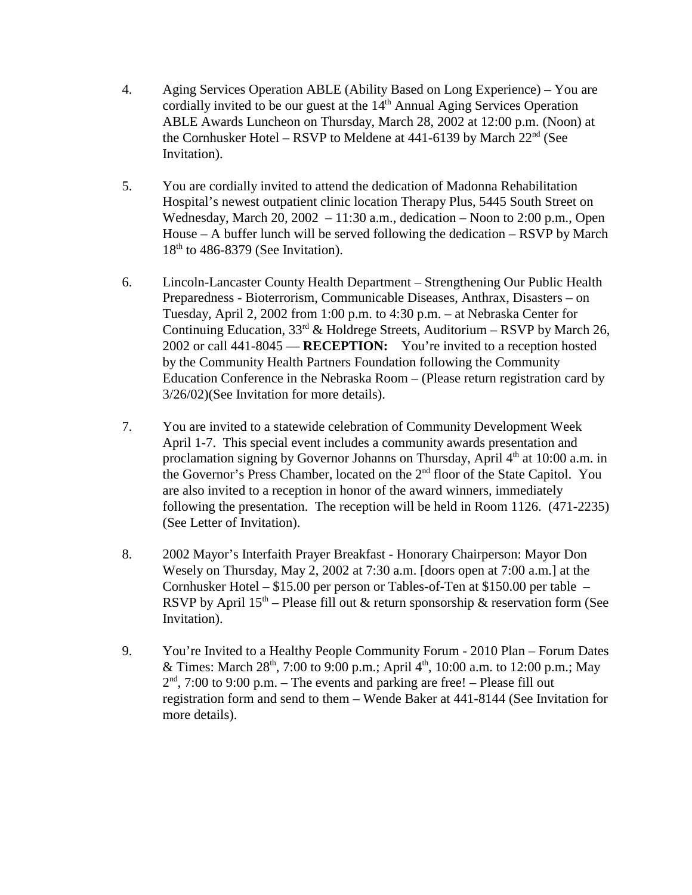- 4. Aging Services Operation ABLE (Ability Based on Long Experience) You are cordially invited to be our guest at the  $14<sup>th</sup>$  Annual Aging Services Operation ABLE Awards Luncheon on Thursday, March 28, 2002 at 12:00 p.m. (Noon) at the Cornhusker Hotel – RSVP to Meldene at 441-6139 by March 22<sup>nd</sup> (See Invitation).
- 5. You are cordially invited to attend the dedication of Madonna Rehabilitation Hospital's newest outpatient clinic location Therapy Plus, 5445 South Street on Wednesday, March 20, 2002 – 11:30 a.m., dedication – Noon to 2:00 p.m., Open House – A buffer lunch will be served following the dedication – RSVP by March  $18<sup>th</sup>$  to 486-8379 (See Invitation).
- 6. Lincoln-Lancaster County Health Department Strengthening Our Public Health Preparedness - Bioterrorism, Communicable Diseases, Anthrax, Disasters – on Tuesday, April 2, 2002 from 1:00 p.m. to 4:30 p.m. – at Nebraska Center for Continuing Education,  $33<sup>rd</sup>$  & Holdrege Streets, Auditorium – RSVP by March 26, 2002 or call 441-8045 — **RECEPTION:** You're invited to a reception hosted by the Community Health Partners Foundation following the Community Education Conference in the Nebraska Room – (Please return registration card by 3/26/02)(See Invitation for more details).
- 7. You are invited to a statewide celebration of Community Development Week April 1-7. This special event includes a community awards presentation and proclamation signing by Governor Johanns on Thursday, April  $4<sup>th</sup>$  at 10:00 a.m. in the Governor's Press Chamber, located on the 2<sup>nd</sup> floor of the State Capitol. You are also invited to a reception in honor of the award winners, immediately following the presentation. The reception will be held in Room 1126. (471-2235) (See Letter of Invitation).
- 8. 2002 Mayor's Interfaith Prayer Breakfast Honorary Chairperson: Mayor Don Wesely on Thursday, May 2, 2002 at 7:30 a.m. [doors open at 7:00 a.m.] at the Cornhusker Hotel – \$15.00 per person or Tables-of-Ten at \$150.00 per table – RSVP by April  $15<sup>th</sup>$  – Please fill out & return sponsorship & reservation form (See Invitation).
- 9. You're Invited to a Healthy People Community Forum 2010 Plan Forum Dates & Times: March  $28<sup>th</sup>$ , 7:00 to 9:00 p.m.; April 4<sup>th</sup>, 10:00 a.m. to 12:00 p.m.; May  $2<sup>nd</sup>$ , 7:00 to 9:00 p.m. – The events and parking are free! – Please fill out registration form and send to them – Wende Baker at 441-8144 (See Invitation for more details).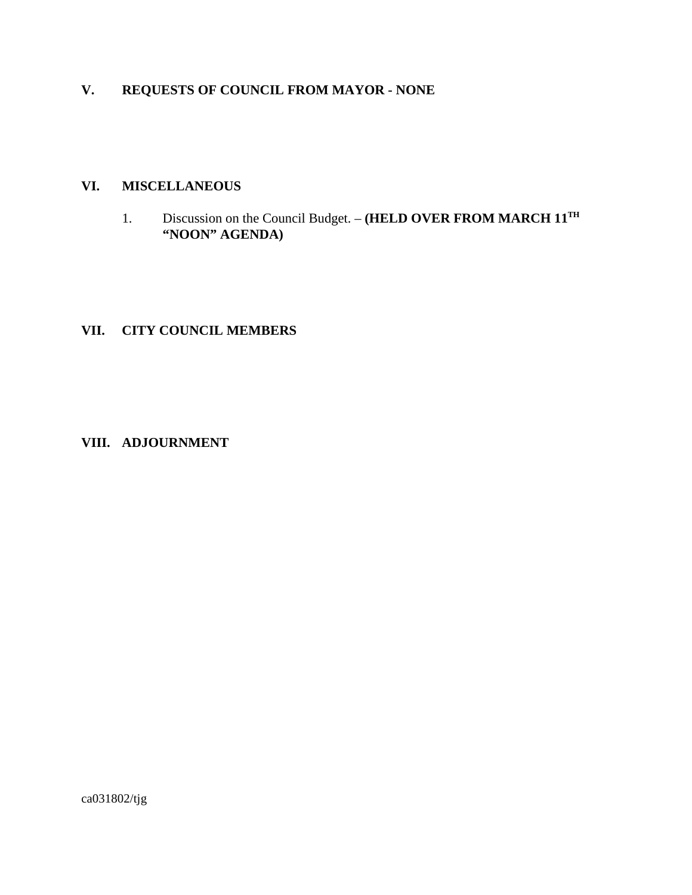# **V. REQUESTS OF COUNCIL FROM MAYOR - NONE**

#### **VI. MISCELLANEOUS**

1. Discussion on the Council Budget. – **(HELD OVER FROM MARCH 11TH "NOON" AGENDA)**

# **VII. CITY COUNCIL MEMBERS**

### **VIII. ADJOURNMENT**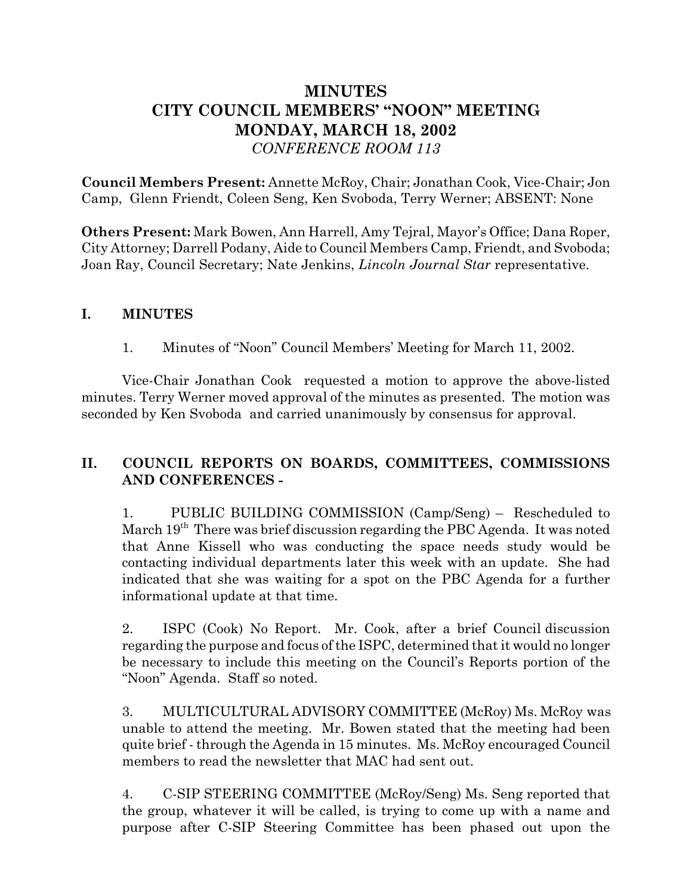# **MINUTES CITY COUNCIL MEMBERS' "NOON" MEETING MONDAY, MARCH 18, 2002** *CONFERENCE ROOM 113*

**Council Members Present:** Annette McRoy, Chair; Jonathan Cook, Vice-Chair; Jon Camp, Glenn Friendt, Coleen Seng, Ken Svoboda, Terry Werner; ABSENT: None

**Others Present:** Mark Bowen, Ann Harrell, Amy Tejral, Mayor's Office; Dana Roper, City Attorney; Darrell Podany, Aide to Council Members Camp, Friendt, and Svoboda; Joan Ray, Council Secretary; Nate Jenkins, *Lincoln Journal Star* representative.

### **I. MINUTES**

1. Minutes of "Noon" Council Members' Meeting for March 11, 2002.

Vice-Chair Jonathan Cook requested a motion to approve the above-listed minutes. Terry Werner moved approval of the minutes as presented. The motion was seconded by Ken Svoboda and carried unanimously by consensus for approval.

## **II. COUNCIL REPORTS ON BOARDS, COMMITTEES, COMMISSIONS AND CONFERENCES -**

1. PUBLIC BUILDING COMMISSION (Camp/Seng) – Rescheduled to March  $19<sup>th</sup>$  There was brief discussion regarding the PBC Agenda. It was noted that Anne Kissell who was conducting the space needs study would be contacting individual departments later this week with an update. She had indicated that she was waiting for a spot on the PBC Agenda for a further informational update at that time.

2. ISPC (Cook) No Report. Mr. Cook, after a brief Council discussion regarding the purpose and focus of the ISPC, determined that it would no longer be necessary to include this meeting on the Council's Reports portion of the "Noon" Agenda. Staff so noted.

3. MULTICULTURAL ADVISORY COMMITTEE (McRoy) Ms. McRoy was unable to attend the meeting. Mr. Bowen stated that the meeting had been quite brief - through the Agenda in 15 minutes. Ms. McRoy encouraged Council members to read the newsletter that MAC had sent out.

4. C-SIP STEERING COMMITTEE (McRoy/Seng) Ms. Seng reported that the group, whatever it will be called, is trying to come up with a name and purpose after C-SIP Steering Committee has been phased out upon the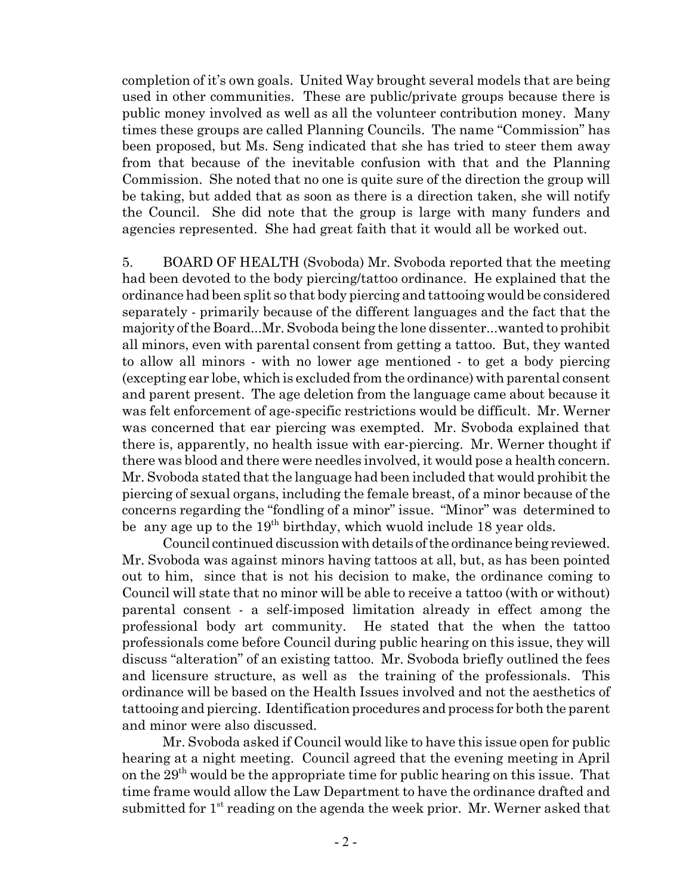completion of it's own goals. United Way brought several models that are being used in other communities. These are public/private groups because there is public money involved as well as all the volunteer contribution money. Many times these groups are called Planning Councils. The name "Commission" has been proposed, but Ms. Seng indicated that she has tried to steer them away from that because of the inevitable confusion with that and the Planning Commission. She noted that no one is quite sure of the direction the group will be taking, but added that as soon as there is a direction taken, she will notify the Council. She did note that the group is large with many funders and agencies represented. She had great faith that it would all be worked out.

5. BOARD OF HEALTH (Svoboda) Mr. Svoboda reported that the meeting had been devoted to the body piercing/tattoo ordinance. He explained that the ordinance had been split so that body piercing and tattooing would be considered separately - primarily because of the different languages and the fact that the majority of the Board...Mr. Svoboda being the lone dissenter...wanted to prohibit all minors, even with parental consent from getting a tattoo. But, they wanted to allow all minors - with no lower age mentioned - to get a body piercing (excepting ear lobe, which is excluded from the ordinance) with parental consent and parent present. The age deletion from the language came about because it was felt enforcement of age-specific restrictions would be difficult. Mr. Werner was concerned that ear piercing was exempted. Mr. Svoboda explained that there is, apparently, no health issue with ear-piercing. Mr. Werner thought if there was blood and there were needles involved, it would pose a health concern. Mr. Svoboda stated that the language had been included that would prohibit the piercing of sexual organs, including the female breast, of a minor because of the concerns regarding the "fondling of a minor" issue. "Minor" was determined to be any age up to the  $19<sup>th</sup>$  birthday, which wuold include 18 year olds.

Council continued discussion with details of the ordinance being reviewed. Mr. Svoboda was against minors having tattoos at all, but, as has been pointed out to him, since that is not his decision to make, the ordinance coming to Council will state that no minor will be able to receive a tattoo (with or without) parental consent - a self-imposed limitation already in effect among the professional body art community. He stated that the when the tattoo professionals come before Council during public hearing on this issue, they will discuss "alteration" of an existing tattoo. Mr. Svoboda briefly outlined the fees and licensure structure, as well as the training of the professionals. This ordinance will be based on the Health Issues involved and not the aesthetics of tattooing and piercing. Identification procedures and process for both the parent and minor were also discussed.

Mr. Svoboda asked if Council would like to have this issue open for public hearing at a night meeting. Council agreed that the evening meeting in April on the  $29<sup>th</sup>$  would be the appropriate time for public hearing on this issue. That time frame would allow the Law Department to have the ordinance drafted and submitted for  $1<sup>st</sup>$  reading on the agenda the week prior. Mr. Werner asked that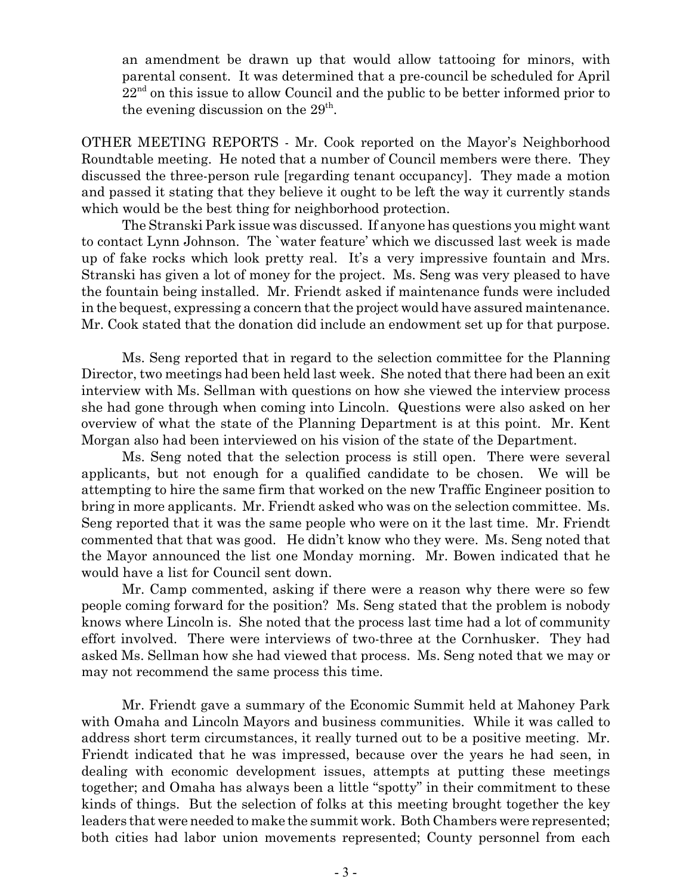an amendment be drawn up that would allow tattooing for minors, with parental consent. It was determined that a pre-council be scheduled for April  $22<sup>nd</sup>$  on this issue to allow Council and the public to be better informed prior to the evening discussion on the  $29<sup>th</sup>$ .

OTHER MEETING REPORTS - Mr. Cook reported on the Mayor's Neighborhood Roundtable meeting. He noted that a number of Council members were there. They discussed the three-person rule [regarding tenant occupancy]. They made a motion and passed it stating that they believe it ought to be left the way it currently stands which would be the best thing for neighborhood protection.

The Stranski Park issue was discussed. If anyone has questions you might want to contact Lynn Johnson. The `water feature' which we discussed last week is made up of fake rocks which look pretty real. It's a very impressive fountain and Mrs. Stranski has given a lot of money for the project. Ms. Seng was very pleased to have the fountain being installed. Mr. Friendt asked if maintenance funds were included in the bequest, expressing a concern that the project would have assured maintenance. Mr. Cook stated that the donation did include an endowment set up for that purpose.

Ms. Seng reported that in regard to the selection committee for the Planning Director, two meetings had been held last week. She noted that there had been an exit interview with Ms. Sellman with questions on how she viewed the interview process she had gone through when coming into Lincoln. Questions were also asked on her overview of what the state of the Planning Department is at this point. Mr. Kent Morgan also had been interviewed on his vision of the state of the Department.

Ms. Seng noted that the selection process is still open. There were several applicants, but not enough for a qualified candidate to be chosen. We will be attempting to hire the same firm that worked on the new Traffic Engineer position to bring in more applicants. Mr. Friendt asked who was on the selection committee. Ms. Seng reported that it was the same people who were on it the last time. Mr. Friendt commented that that was good. He didn't know who they were. Ms. Seng noted that the Mayor announced the list one Monday morning. Mr. Bowen indicated that he would have a list for Council sent down.

Mr. Camp commented, asking if there were a reason why there were so few people coming forward for the position? Ms. Seng stated that the problem is nobody knows where Lincoln is. She noted that the process last time had a lot of community effort involved. There were interviews of two-three at the Cornhusker. They had asked Ms. Sellman how she had viewed that process. Ms. Seng noted that we may or may not recommend the same process this time.

Mr. Friendt gave a summary of the Economic Summit held at Mahoney Park with Omaha and Lincoln Mayors and business communities. While it was called to address short term circumstances, it really turned out to be a positive meeting. Mr. Friendt indicated that he was impressed, because over the years he had seen, in dealing with economic development issues, attempts at putting these meetings together; and Omaha has always been a little "spotty" in their commitment to these kinds of things. But the selection of folks at this meeting brought together the key leaders that were needed to make the summit work. Both Chambers were represented; both cities had labor union movements represented; County personnel from each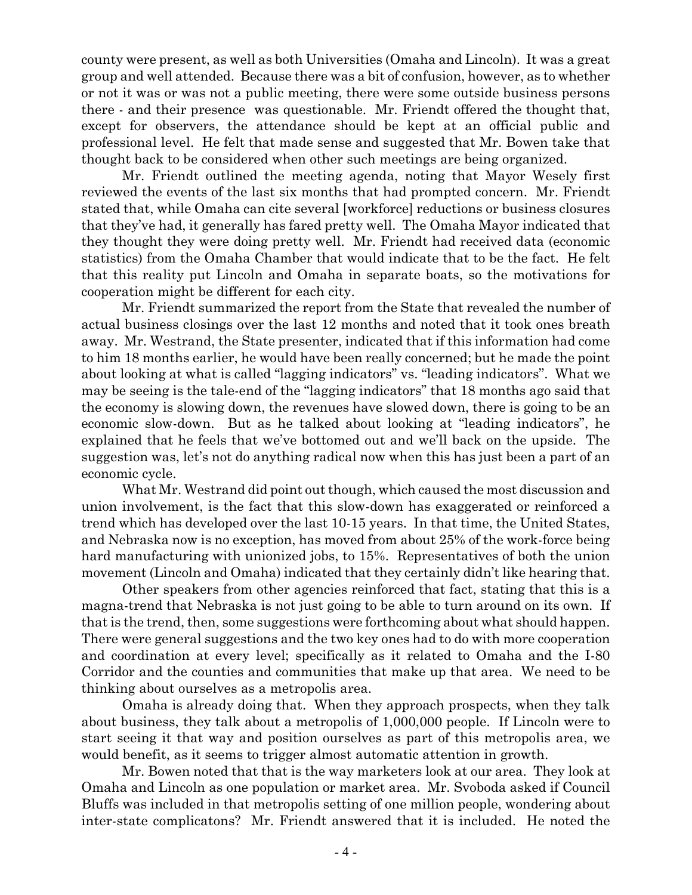county were present, as well as both Universities (Omaha and Lincoln). It was a great group and well attended. Because there was a bit of confusion, however, as to whether or not it was or was not a public meeting, there were some outside business persons there - and their presence was questionable. Mr. Friendt offered the thought that, except for observers, the attendance should be kept at an official public and professional level. He felt that made sense and suggested that Mr. Bowen take that thought back to be considered when other such meetings are being organized.

Mr. Friendt outlined the meeting agenda, noting that Mayor Wesely first reviewed the events of the last six months that had prompted concern. Mr. Friendt stated that, while Omaha can cite several [workforce] reductions or business closures that they've had, it generally has fared pretty well. The Omaha Mayor indicated that they thought they were doing pretty well. Mr. Friendt had received data (economic statistics) from the Omaha Chamber that would indicate that to be the fact. He felt that this reality put Lincoln and Omaha in separate boats, so the motivations for cooperation might be different for each city.

Mr. Friendt summarized the report from the State that revealed the number of actual business closings over the last 12 months and noted that it took ones breath away. Mr. Westrand, the State presenter, indicated that if this information had come to him 18 months earlier, he would have been really concerned; but he made the point about looking at what is called "lagging indicators" vs. "leading indicators". What we may be seeing is the tale-end of the "lagging indicators" that 18 months ago said that the economy is slowing down, the revenues have slowed down, there is going to be an economic slow-down. But as he talked about looking at "leading indicators", he explained that he feels that we've bottomed out and we'll back on the upside. The suggestion was, let's not do anything radical now when this has just been a part of an economic cycle.

What Mr. Westrand did point out though, which caused the most discussion and union involvement, is the fact that this slow-down has exaggerated or reinforced a trend which has developed over the last 10-15 years. In that time, the United States, and Nebraska now is no exception, has moved from about 25% of the work-force being hard manufacturing with unionized jobs, to 15%. Representatives of both the union movement (Lincoln and Omaha) indicated that they certainly didn't like hearing that.

Other speakers from other agencies reinforced that fact, stating that this is a magna-trend that Nebraska is not just going to be able to turn around on its own. If that is the trend, then, some suggestions were forthcoming about what should happen. There were general suggestions and the two key ones had to do with more cooperation and coordination at every level; specifically as it related to Omaha and the I-80 Corridor and the counties and communities that make up that area. We need to be thinking about ourselves as a metropolis area.

Omaha is already doing that. When they approach prospects, when they talk about business, they talk about a metropolis of 1,000,000 people. If Lincoln were to start seeing it that way and position ourselves as part of this metropolis area, we would benefit, as it seems to trigger almost automatic attention in growth.

Mr. Bowen noted that that is the way marketers look at our area. They look at Omaha and Lincoln as one population or market area. Mr. Svoboda asked if Council Bluffs was included in that metropolis setting of one million people, wondering about inter-state complicatons? Mr. Friendt answered that it is included. He noted the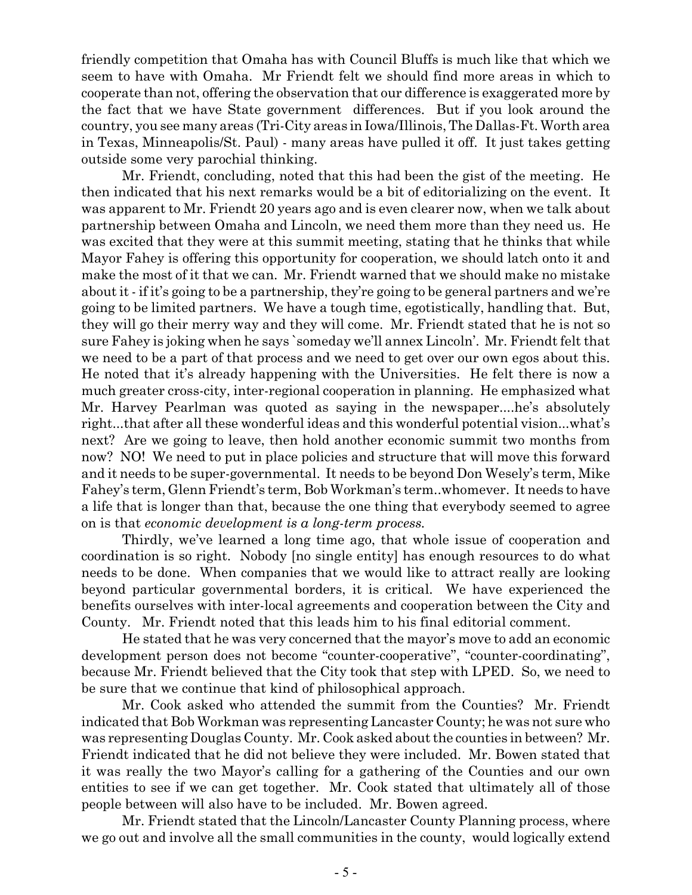friendly competition that Omaha has with Council Bluffs is much like that which we seem to have with Omaha. Mr Friendt felt we should find more areas in which to cooperate than not, offering the observation that our difference is exaggerated more by the fact that we have State government differences. But if you look around the country, you see many areas (Tri-City areas in Iowa/Illinois, The Dallas-Ft. Worth area in Texas, Minneapolis/St. Paul) - many areas have pulled it off. It just takes getting outside some very parochial thinking.

Mr. Friendt, concluding, noted that this had been the gist of the meeting. He then indicated that his next remarks would be a bit of editorializing on the event. It was apparent to Mr. Friendt 20 years ago and is even clearer now, when we talk about partnership between Omaha and Lincoln, we need them more than they need us. He was excited that they were at this summit meeting, stating that he thinks that while Mayor Fahey is offering this opportunity for cooperation, we should latch onto it and make the most of it that we can. Mr. Friendt warned that we should make no mistake about it - if it's going to be a partnership, they're going to be general partners and we're going to be limited partners. We have a tough time, egotistically, handling that. But, they will go their merry way and they will come. Mr. Friendt stated that he is not so sure Fahey is joking when he says `someday we'll annex Lincoln'. Mr. Friendt felt that we need to be a part of that process and we need to get over our own egos about this. He noted that it's already happening with the Universities. He felt there is now a much greater cross-city, inter-regional cooperation in planning. He emphasized what Mr. Harvey Pearlman was quoted as saying in the newspaper....he's absolutely right...that after all these wonderful ideas and this wonderful potential vision...what's next? Are we going to leave, then hold another economic summit two months from now? NO! We need to put in place policies and structure that will move this forward and it needs to be super-governmental. It needs to be beyond Don Wesely's term, Mike Fahey's term, Glenn Friendt's term, Bob Workman's term..whomever. It needs to have a life that is longer than that, because the one thing that everybody seemed to agree on is that *economic development is a long-term process.* 

Thirdly, we've learned a long time ago, that whole issue of cooperation and coordination is so right. Nobody [no single entity] has enough resources to do what needs to be done. When companies that we would like to attract really are looking beyond particular governmental borders, it is critical. We have experienced the benefits ourselves with inter-local agreements and cooperation between the City and County. Mr. Friendt noted that this leads him to his final editorial comment.

He stated that he was very concerned that the mayor's move to add an economic development person does not become "counter-cooperative", "counter-coordinating", because Mr. Friendt believed that the City took that step with LPED. So, we need to be sure that we continue that kind of philosophical approach.

Mr. Cook asked who attended the summit from the Counties? Mr. Friendt indicated that Bob Workman was representing Lancaster County; he was not sure who was representing Douglas County. Mr. Cook asked about the counties in between? Mr. Friendt indicated that he did not believe they were included. Mr. Bowen stated that it was really the two Mayor's calling for a gathering of the Counties and our own entities to see if we can get together. Mr. Cook stated that ultimately all of those people between will also have to be included. Mr. Bowen agreed.

Mr. Friendt stated that the Lincoln/Lancaster County Planning process, where we go out and involve all the small communities in the county, would logically extend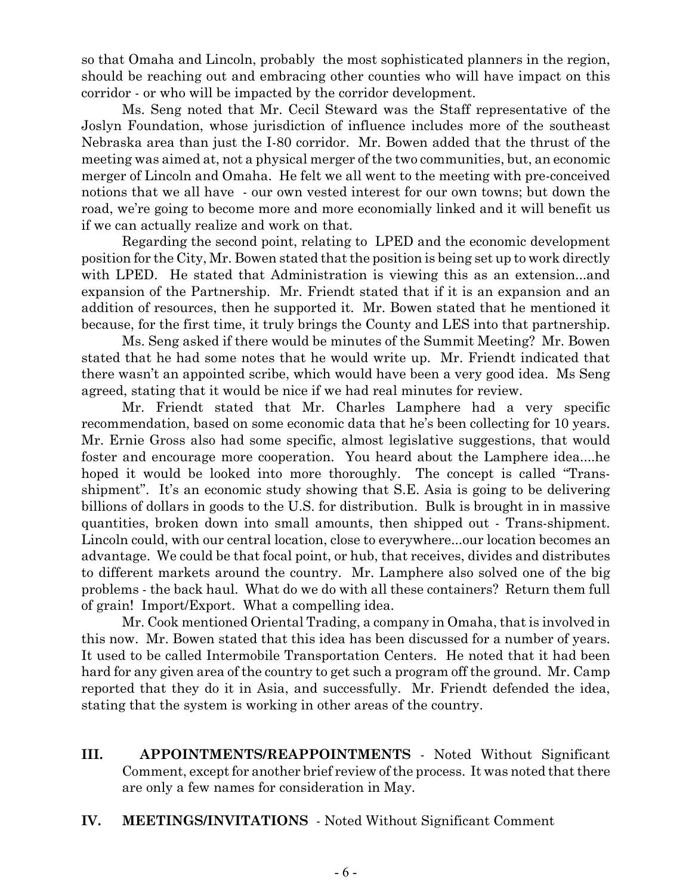so that Omaha and Lincoln, probably the most sophisticated planners in the region, should be reaching out and embracing other counties who will have impact on this corridor - or who will be impacted by the corridor development.

Ms. Seng noted that Mr. Cecil Steward was the Staff representative of the Joslyn Foundation, whose jurisdiction of influence includes more of the southeast Nebraska area than just the I-80 corridor. Mr. Bowen added that the thrust of the meeting was aimed at, not a physical merger of the two communities, but, an economic merger of Lincoln and Omaha. He felt we all went to the meeting with pre-conceived notions that we all have - our own vested interest for our own towns; but down the road, we're going to become more and more economially linked and it will benefit us if we can actually realize and work on that.

Regarding the second point, relating to LPED and the economic development position for the City, Mr. Bowen stated that the position is being set up to work directly with LPED. He stated that Administration is viewing this as an extension...and expansion of the Partnership. Mr. Friendt stated that if it is an expansion and an addition of resources, then he supported it. Mr. Bowen stated that he mentioned it because, for the first time, it truly brings the County and LES into that partnership.

Ms. Seng asked if there would be minutes of the Summit Meeting? Mr. Bowen stated that he had some notes that he would write up. Mr. Friendt indicated that there wasn't an appointed scribe, which would have been a very good idea. Ms Seng agreed, stating that it would be nice if we had real minutes for review.

Mr. Friendt stated that Mr. Charles Lamphere had a very specific recommendation, based on some economic data that he's been collecting for 10 years. Mr. Ernie Gross also had some specific, almost legislative suggestions, that would foster and encourage more cooperation. You heard about the Lamphere idea....he hoped it would be looked into more thoroughly. The concept is called "Transshipment". It's an economic study showing that S.E. Asia is going to be delivering billions of dollars in goods to the U.S. for distribution. Bulk is brought in in massive quantities, broken down into small amounts, then shipped out - Trans-shipment. Lincoln could, with our central location, close to everywhere...our location becomes an advantage. We could be that focal point, or hub, that receives, divides and distributes to different markets around the country. Mr. Lamphere also solved one of the big problems - the back haul. What do we do with all these containers? Return them full of grain! Import/Export. What a compelling idea.

Mr. Cook mentioned Oriental Trading, a company in Omaha, that is involved in this now. Mr. Bowen stated that this idea has been discussed for a number of years. It used to be called Intermobile Transportation Centers. He noted that it had been hard for any given area of the country to get such a program off the ground. Mr. Camp reported that they do it in Asia, and successfully. Mr. Friendt defended the idea, stating that the system is working in other areas of the country.

- **III. APPOINTMENTS/REAPPOINTMENTS** Noted Without Significant Comment, except for another brief review of the process. It was noted that there are only a few names for consideration in May.
- **IV. MEETINGS/INVITATIONS**  Noted Without Significant Comment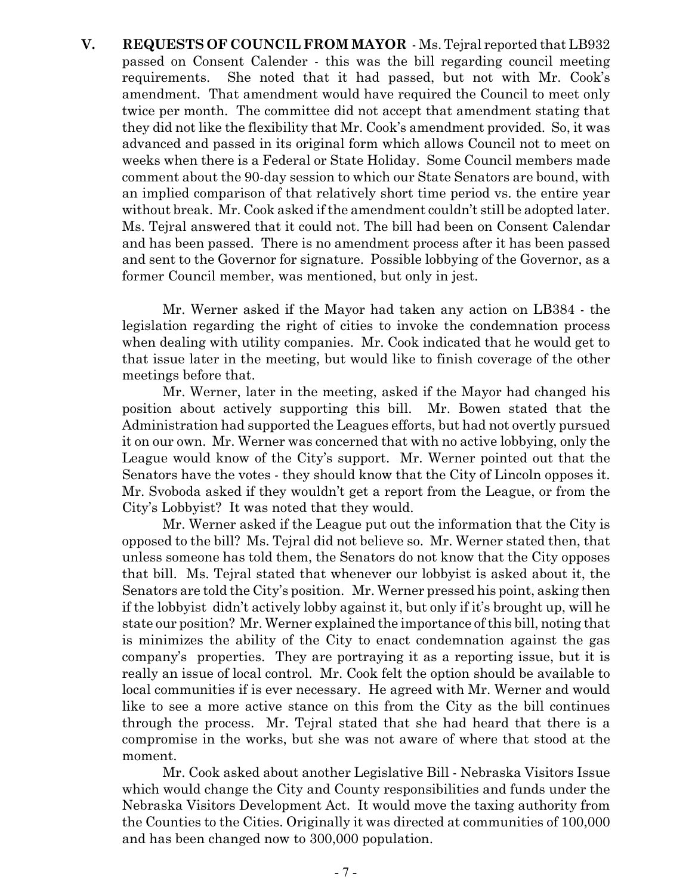**V. REQUESTS OF COUNCIL FROM MAYOR** - Ms. Tejral reported that LB932 passed on Consent Calender - this was the bill regarding council meeting requirements. She noted that it had passed, but not with Mr. Cook's amendment. That amendment would have required the Council to meet only twice per month. The committee did not accept that amendment stating that they did not like the flexibility that Mr. Cook's amendment provided. So, it was advanced and passed in its original form which allows Council not to meet on weeks when there is a Federal or State Holiday. Some Council members made comment about the 90-day session to which our State Senators are bound, with an implied comparison of that relatively short time period vs. the entire year without break. Mr. Cook asked if the amendment couldn't still be adopted later. Ms. Tejral answered that it could not. The bill had been on Consent Calendar and has been passed. There is no amendment process after it has been passed and sent to the Governor for signature. Possible lobbying of the Governor, as a former Council member, was mentioned, but only in jest.

Mr. Werner asked if the Mayor had taken any action on LB384 - the legislation regarding the right of cities to invoke the condemnation process when dealing with utility companies. Mr. Cook indicated that he would get to that issue later in the meeting, but would like to finish coverage of the other meetings before that.

Mr. Werner, later in the meeting, asked if the Mayor had changed his position about actively supporting this bill. Mr. Bowen stated that the Administration had supported the Leagues efforts, but had not overtly pursued it on our own. Mr. Werner was concerned that with no active lobbying, only the League would know of the City's support. Mr. Werner pointed out that the Senators have the votes - they should know that the City of Lincoln opposes it. Mr. Svoboda asked if they wouldn't get a report from the League, or from the City's Lobbyist? It was noted that they would.

Mr. Werner asked if the League put out the information that the City is opposed to the bill? Ms. Tejral did not believe so. Mr. Werner stated then, that unless someone has told them, the Senators do not know that the City opposes that bill. Ms. Tejral stated that whenever our lobbyist is asked about it, the Senators are told the City's position. Mr. Werner pressed his point, asking then if the lobbyist didn't actively lobby against it, but only if it's brought up, will he state our position? Mr. Werner explained the importance of this bill, noting that is minimizes the ability of the City to enact condemnation against the gas company's properties. They are portraying it as a reporting issue, but it is really an issue of local control. Mr. Cook felt the option should be available to local communities if is ever necessary. He agreed with Mr. Werner and would like to see a more active stance on this from the City as the bill continues through the process. Mr. Tejral stated that she had heard that there is a compromise in the works, but she was not aware of where that stood at the moment.

Mr. Cook asked about another Legislative Bill - Nebraska Visitors Issue which would change the City and County responsibilities and funds under the Nebraska Visitors Development Act. It would move the taxing authority from the Counties to the Cities. Originally it was directed at communities of 100,000 and has been changed now to 300,000 population.